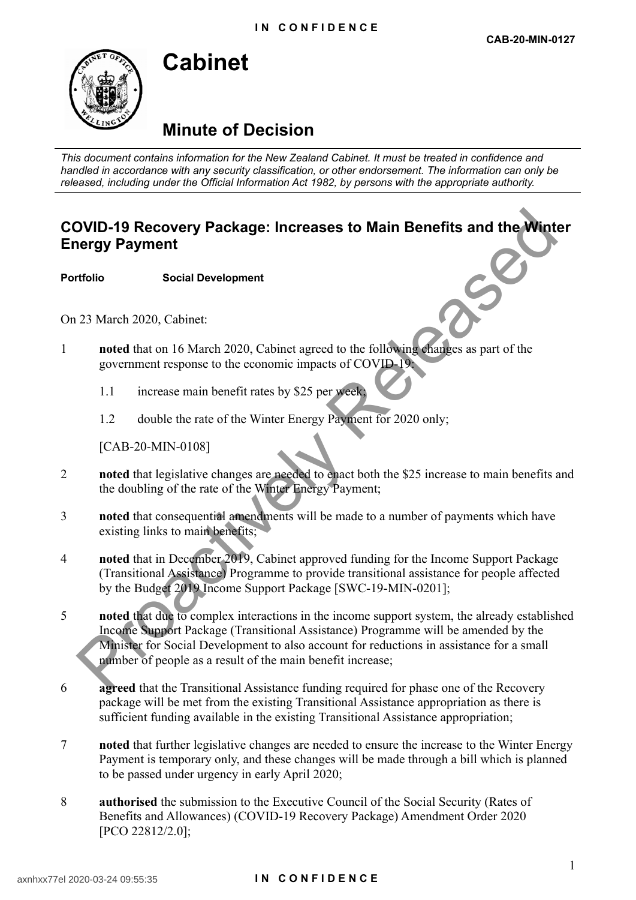# **Minute of Decision**

**Cabinet**

*This document contains information for the New Zealand Cabinet. It must be treated in confidence and handled in accordance with any security classification, or other endorsement. The information can only be released, including under the Official Information Act 1982, by persons with the appropriate authority.*

# **COVID-19 Recovery Package: Increases to Main Benefits and the Winter Energy Payment**

**Portfolio Social Development**

On 23 March 2020, Cabinet:

- 1 **noted** that on 16 March 2020, Cabinet agreed to the following changes as part of the government response to the economic impacts of COVID-19:
	- 1.1 increase main benefit rates by \$25 per week;
	- 1.2 double the rate of the Winter Energy Payment for 2020 only;

[CAB-20-MIN-0108]

- 2 **noted** that legislative changes are needed to enact both the \$25 increase to main benefits and the doubling of the rate of the Winter Energy Payment;
- 3 **noted** that consequential amendments will be made to a number of payments which have existing links to main benefits;
- 4 **noted** that in December 2019, Cabinet approved funding for the Income Support Package (Transitional Assistance) Programme to provide transitional assistance for people affected by the Budget 2019 Income Support Package [SWC-19-MIN-0201];
- 5 **noted** that due to complex interactions in the income support system, the already established Income Support Package (Transitional Assistance) Programme will be amended by the Minister for Social Development to also account for reductions in assistance for a small number of people as a result of the main benefit increase; **DVID-19 Recovery Package: Increases to Main Benefits and the Wint<br>
ergy Payment**<br>
their social Development<br>
social Development<br>
social Development<br>
social Development<br>
social Development<br>
their social Development<br>
increas
- 6 **agreed** that the Transitional Assistance funding required for phase one of the Recovery package will be met from the existing Transitional Assistance appropriation as there is sufficient funding available in the existing Transitional Assistance appropriation;
- 7 **noted** that further legislative changes are needed to ensure the increase to the Winter Energy Payment is temporary only, and these changes will be made through a bill which is planned to be passed under urgency in early April 2020;
- 8 **authorised** the submission to the Executive Council of the Social Security (Rates of Benefits and Allowances) (COVID-19 Recovery Package) Amendment Order 2020 [PCO 22812/2.0];